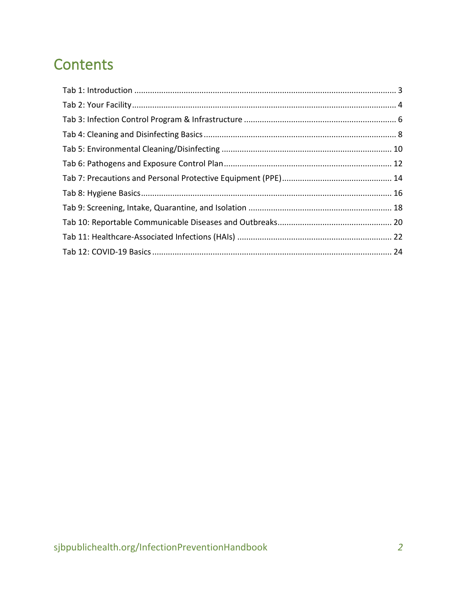## **Contents**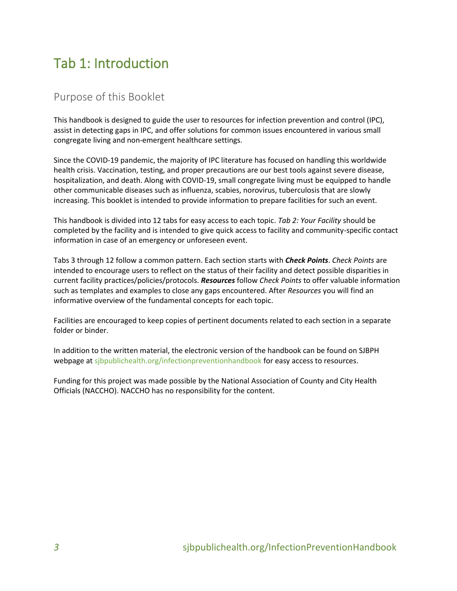## <span id="page-1-0"></span>Tab 1: Introduction

## Purpose of this Booklet

This handbook is designed to guide the user to resources for infection prevention and control (IPC), assist in detecting gaps in IPC, and offer solutions for common issues encountered in various small congregate living and non-emergent healthcare settings.

Since the COVID-19 pandemic, the majority of IPC literature has focused on handling this worldwide health crisis. Vaccination, testing, and proper precautions are our best tools against severe disease, hospitalization, and death. Along with COVID-19, small congregate living must be equipped to handle other communicable diseases such as influenza, scabies, norovirus, tuberculosis that are slowly increasing. This booklet is intended to provide information to prepare facilities for such an event.

This handbook is divided into 12 tabs for easy access to each topic. *Tab 2: Your Facility* should be completed by the facility and is intended to give quick access to facility and community-specific contact information in case of an emergency or unforeseen event.

Tabs 3 through 12 follow a common pattern. Each section starts with *Check Points*. *Check Points* are intended to encourage users to reflect on the status of their facility and detect possible disparities in current facility practices/policies/protocols. *Resources* follow *Check Points* to offer valuable information such as templates and examples to close any gaps encountered. After *Resources* you will find an informative overview of the fundamental concepts for each topic.

Facilities are encouraged to keep copies of pertinent documents related to each section in a separate folder or binder.

In addition to the written material, the electronic version of the handbook can be found on SJBPH webpage at sjbpublichealth.org/infectionpreventionhandbook for easy access to resources.

Funding for this project was made possible by the National Association of County and City Health Officials (NACCHO). NACCHO has no responsibility for the content.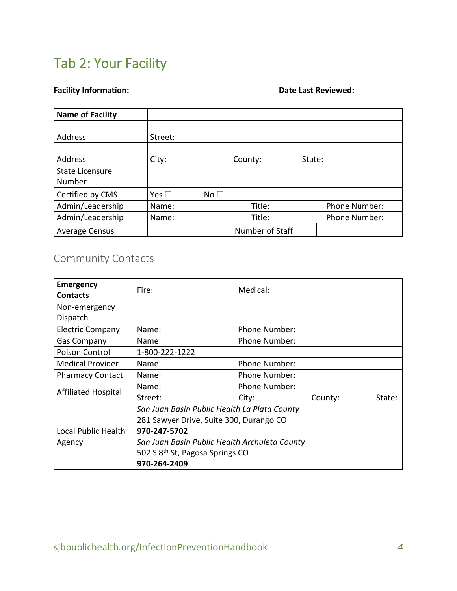## <span id="page-2-0"></span>Tab 2: Your Facility

### **Facility Information: Date Last Reviewed:**

| <b>Name of Facility</b> |               |              |                 |        |               |
|-------------------------|---------------|--------------|-----------------|--------|---------------|
|                         |               |              |                 |        |               |
| Address                 | Street:       |              |                 |        |               |
|                         |               |              |                 |        |               |
| Address                 | City:         |              | County:         | State: |               |
| <b>State Licensure</b>  |               |              |                 |        |               |
| Number                  |               |              |                 |        |               |
| Certified by CMS        | Yes $\square$ | No $\square$ |                 |        |               |
| Admin/Leadership        | Name:         |              | Title:          |        | Phone Number: |
| Admin/Leadership        | Name:         |              | Title:          |        | Phone Number: |
| <b>Average Census</b>   |               |              | Number of Staff |        |               |

## Community Contacts

| <b>Emergency</b><br><b>Contacts</b> | Fire:                                         | Medical:                                |         |        |  |  |
|-------------------------------------|-----------------------------------------------|-----------------------------------------|---------|--------|--|--|
| Non-emergency                       |                                               |                                         |         |        |  |  |
| Dispatch                            |                                               |                                         |         |        |  |  |
| <b>Electric Company</b>             | Name:                                         | <b>Phone Number:</b>                    |         |        |  |  |
| <b>Gas Company</b>                  | Name:                                         | Phone Number:                           |         |        |  |  |
| Poison Control                      | 1-800-222-1222                                |                                         |         |        |  |  |
| <b>Medical Provider</b>             | <b>Phone Number:</b><br>Name:                 |                                         |         |        |  |  |
| <b>Pharmacy Contact</b>             | Name:                                         | <b>Phone Number:</b>                    |         |        |  |  |
|                                     | Name:                                         | <b>Phone Number:</b>                    |         |        |  |  |
| <b>Affiliated Hospital</b>          | Street:                                       | City:                                   | County: | State: |  |  |
|                                     | San Juan Basin Public Health La Plata County  |                                         |         |        |  |  |
|                                     |                                               | 281 Sawyer Drive, Suite 300, Durango CO |         |        |  |  |
| <b>Local Public Health</b>          | 970-247-5702                                  |                                         |         |        |  |  |
| Agency                              | San Juan Basin Public Health Archuleta County |                                         |         |        |  |  |
|                                     | 502 S 8 <sup>th</sup> St, Pagosa Springs CO   |                                         |         |        |  |  |
|                                     | 970-264-2409                                  |                                         |         |        |  |  |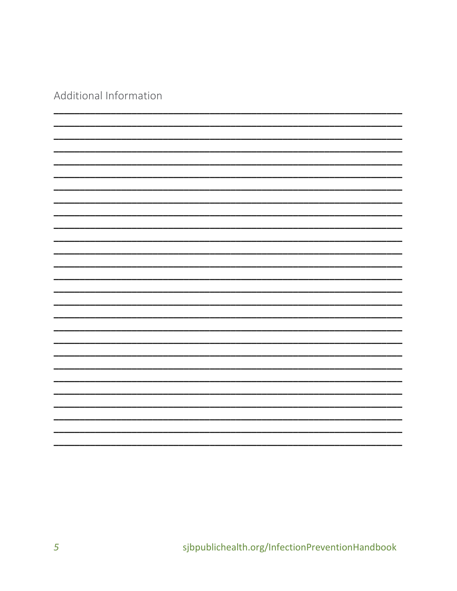Additional Information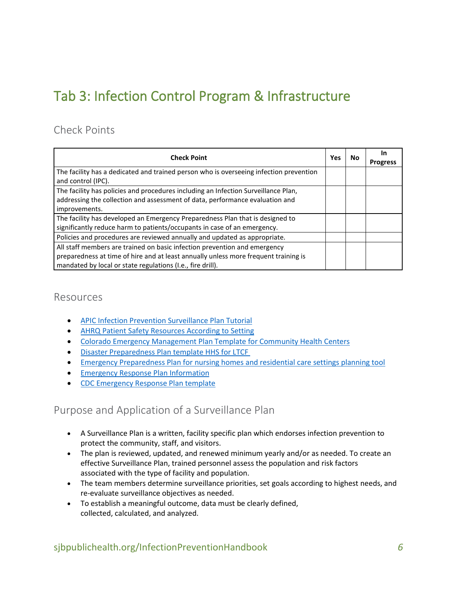## <span id="page-4-0"></span>Tab 3: Infection Control Program & Infrastructure

## Check Points

| <b>Check Point</b>                                                                                                                                                                                                             | <b>Yes</b> | No. | <b>In</b><br><b>Progress</b> |
|--------------------------------------------------------------------------------------------------------------------------------------------------------------------------------------------------------------------------------|------------|-----|------------------------------|
| The facility has a dedicated and trained person who is overseeing infection prevention<br>and control (IPC).                                                                                                                   |            |     |                              |
| The facility has policies and procedures including an Infection Surveillance Plan,<br>addressing the collection and assessment of data, performance evaluation and<br>improvements.                                            |            |     |                              |
| The facility has developed an Emergency Preparedness Plan that is designed to<br>significantly reduce harm to patients/occupants in case of an emergency.                                                                      |            |     |                              |
| Policies and procedures are reviewed annually and updated as appropriate.                                                                                                                                                      |            |     |                              |
| All staff members are trained on basic infection prevention and emergency<br>preparedness at time of hire and at least annually unless more frequent training is<br>mandated by local or state regulations (I.e., fire drill). |            |     |                              |

### Resources

- [APIC Infection Prevention Surveillance Plan Tutorial](https://www.apic.org/Resource_/TinyMceFileManager/Practice_Guidance/AJIC-Surveillance-2007.pdf)
- [AHRQ Patient Safety Resources According to Setting](https://www.ahrq.gov/patient-safety/settings/index.html)
- [Colorado Emergency Management Plan Template for Community Health Centers](https://www.cchn.org/pdf/clinical_quality/ep/EMP_CHC_Template_Version_2.pdf)
- Disaster Preparedness [Plan template HHS for LTCF](https://asprtracie.hhs.gov/technical-resources/resource/123/disaster-preparedness-plan-template-for-use-in-long-term-care-facilitiescv-%5b3)
- [Emergency Preparedness Plan for nursing homes and residential care settings planning tool](https://www.michigan.gov/documents/mdch/Emergency_Preparedness_Planning.-_Vermont_428874_7.pdf)
- [Emergency Response](https://www.ready.gov/business/implementation/emergency) Plan Information
- [CDC Emergency Response Plan template](https://www.cdc.gov/niosh/docs/2004-101/emrgact/files/emrgact.pdf)

## Purpose and Application of a Surveillance Plan

- A Surveillance Plan is a written, facility specific plan which endorses infection prevention to protect the community, staff, and visitors.
- The plan is reviewed, updated, and renewed minimum yearly and/or as needed. To create an effective Surveillance Plan, trained personnel assess the population and risk factors associated with the type of facility and population.
- The team members determine surveillance priorities, set goals according to highest needs, and re-evaluate surveillance objectives as needed.
- To establish a meaningful outcome, data must be clearly defined, collected, calculated, and analyzed.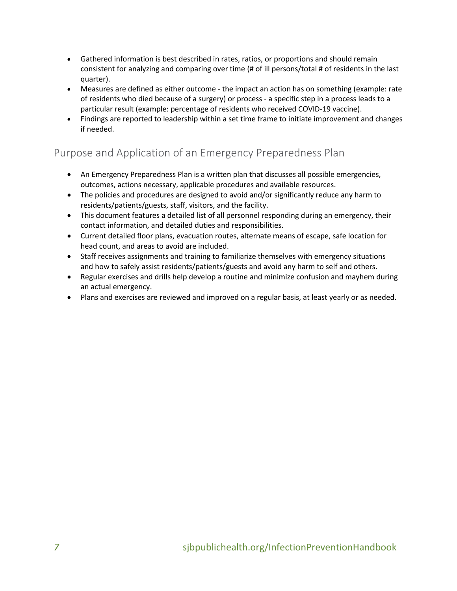- Gathered information is best described in rates, ratios, or proportions and should remain consistent for analyzing and comparing over time (# of ill persons/total # of residents in the last quarter).
- Measures are defined as either outcome the impact an action has on something (example: rate of residents who died because of a surgery) or process - a specific step in a process leads to a particular result (example: percentage of residents who received COVID-19 vaccine).
- Findings are reported to leadership within a set time frame to initiate improvement and changes if needed.

## Purpose and Application of an Emergency Preparedness Plan

- An Emergency Preparedness Plan is a written plan that discusses all possible emergencies, outcomes, actions necessary, applicable procedures and available resources.
- The policies and procedures are designed to avoid and/or significantly reduce any harm to residents/patients/guests, staff, visitors, and the facility.
- This document features a detailed list of all personnel responding during an emergency, their contact information, and detailed duties and responsibilities.
- Current detailed floor plans, evacuation routes, alternate means of escape, safe location for head count, and areas to avoid are included.
- Staff receives assignments and training to familiarize themselves with emergency situations and how to safely assist residents/patients/guests and avoid any harm to self and others.
- Regular exercises and drills help develop a routine and minimize confusion and mayhem during an actual emergency.
- Plans and exercises are reviewed and improved on a regular basis, at least yearly or as needed.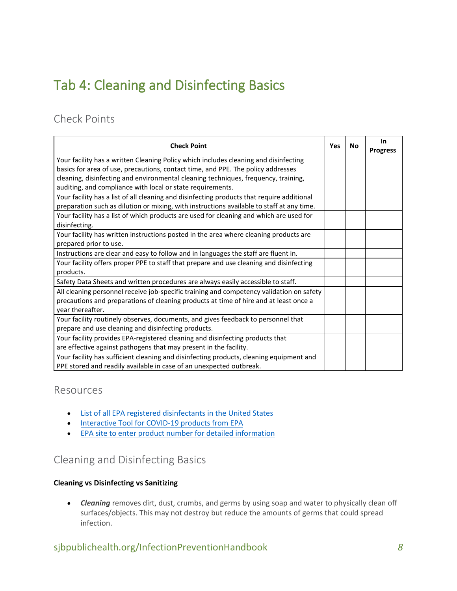## <span id="page-6-0"></span>Tab 4: Cleaning and Disinfecting Basics

Check Points

| <b>Check Point</b>                                                                                                                                                                                    | Yes | <b>No</b> | In<br><b>Progress</b> |
|-------------------------------------------------------------------------------------------------------------------------------------------------------------------------------------------------------|-----|-----------|-----------------------|
| Your facility has a written Cleaning Policy which includes cleaning and disinfecting<br>basics for area of use, precautions, contact time, and PPE. The policy addresses                              |     |           |                       |
| cleaning, disinfecting and environmental cleaning techniques, frequency, training,<br>auditing, and compliance with local or state requirements.                                                      |     |           |                       |
| Your facility has a list of all cleaning and disinfecting products that require additional<br>preparation such as dilution or mixing, with instructions available to staff at any time.               |     |           |                       |
| Your facility has a list of which products are used for cleaning and which are used for<br>disinfecting.                                                                                              |     |           |                       |
| Your facility has written instructions posted in the area where cleaning products are<br>prepared prior to use.                                                                                       |     |           |                       |
| Instructions are clear and easy to follow and in languages the staff are fluent in.                                                                                                                   |     |           |                       |
| Your facility offers proper PPE to staff that prepare and use cleaning and disinfecting<br>products.                                                                                                  |     |           |                       |
| Safety Data Sheets and written procedures are always easily accessible to staff.                                                                                                                      |     |           |                       |
| All cleaning personnel receive job-specific training and competency validation on safety<br>precautions and preparations of cleaning products at time of hire and at least once a<br>year thereafter. |     |           |                       |
| Your facility routinely observes, documents, and gives feedback to personnel that<br>prepare and use cleaning and disinfecting products.                                                              |     |           |                       |
| Your facility provides EPA-registered cleaning and disinfecting products that                                                                                                                         |     |           |                       |
| are effective against pathogens that may present in the facility.                                                                                                                                     |     |           |                       |
| Your facility has sufficient cleaning and disinfecting products, cleaning equipment and<br>PPE stored and readily available in case of an unexpected outbreak.                                        |     |           |                       |

## Resources

- [List of all EPA registered disinfectants in the United States](https://www.epa.gov/pesticide-registration/selected-epa-registered-disinfectants%22%20/l%20%22pathogens.)
- [Interactive Tool for COVID-19 products from EPA](https://cfpub.epa.gov/giwiz/disinfectants/index.cfm)
- EPA [site to enter product number for detailed information](https://ofmpub.epa.gov/apex/pesticides/f?p=PPLS%3A1)

## Cleaning and Disinfecting Basics

#### **Cleaning vs Disinfecting vs Sanitizing**

• *Cleaning* removes dirt, dust, crumbs, and germs by using soap and water to physically clean off surfaces/objects. This may not destroy but reduce the amounts of germs that could spread infection.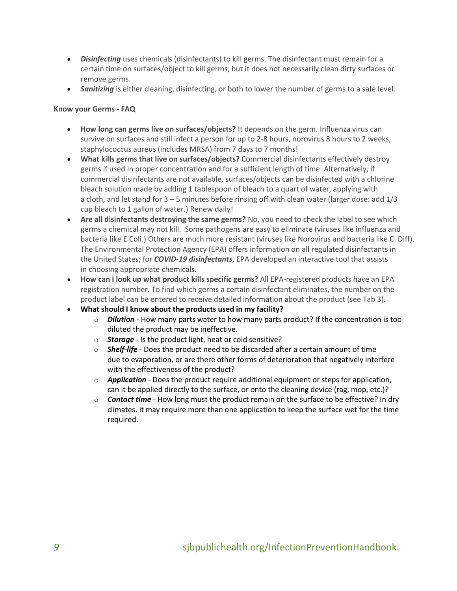- *Disinfecting* uses chemicals (disinfectants) to kill germs. The disinfectant must remain for a certain time on surfaces/object to kill germs, but it does not necessarily clean dirty surfaces or remove germs.
- *Sanitizing* is either cleaning, disinfecting, or both to lower the number of germs to a safe level.

#### **Know your Germs - FAQ**

- **How long can germs live on surfaces/objects?** It depends on the germ. Influenza virus can survive on surfaces and still infect a person for up to 2-8 hours, norovirus 8 hours to 2 weeks, staphylococcus aureus (includes MRSA) from 7 days to 7 months!
- **What kills germs that live on surfaces/objects?** Commercial disinfectants effectively destroy germs if used in proper concentration and for a sufficient length of time. Alternatively, if commercial disinfectants are not available, surfaces/objects can be disinfected with a chlorine bleach solution made by adding 1 tablespoon of bleach to a quart of water, applying with a cloth, and let stand for 3 – 5 minutes before rinsing off with clean water (larger dose: add 1/3 cup bleach to 1 gallon of water.) Renew daily!
- **Are all disinfectants destroying the same germs?** No, you need to check the label to see which germs a chemical may not kill. Some pathogens are easy to eliminate (viruses like influenza and bacteria like E Coli.) Others are much more resistant (viruses like Norovirus and bacteria like C. Diff). The Environmental Protection Agency (EPA) offers information on all regulated disinfectants in the United States; for *COVID-19 disinfectants*, EPA developed an interactive tool that assists in choosing appropriate chemicals.
- **How can I look up what product kills specific germs?** All EPA-registered products have an EPA registration number. To find which germs a certain disinfectant eliminates, the number on the product label can be entered to receive detailed information about the product (see Tab 3).
- **What should I know about the products used in my facility?**
	- o *Dilution* How many parts water to how many parts product? If the concentration is too diluted the product may be ineffective.
	- o *Storage* Is the product light, heat or cold sensitive?
	- o *Shelf-life* Does the product need to be discarded after a certain amount of time due to evaporation, or are there other forms of deterioration that negatively interfere with the effectiveness of the product?
	- o *Application* Does the product require additional equipment or steps for application, can it be applied directly to the surface, or onto the cleaning device (rag, mop, etc.)?
	- o *Contact time* How long must the product remain on the surface to be effective? In dry climates, it may require more than one application to keep the surface wet for the time required.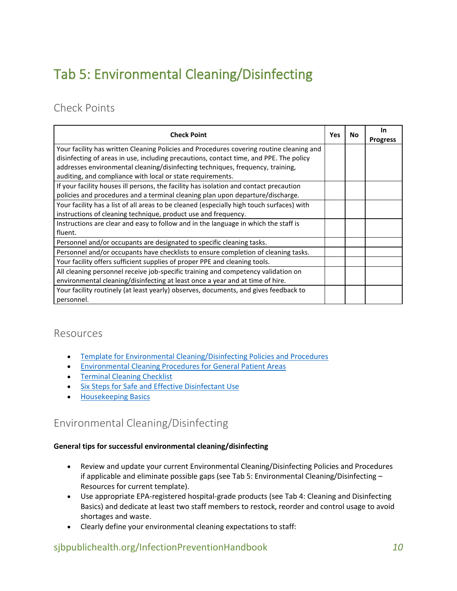# <span id="page-8-0"></span>Tab 5: Environmental Cleaning/Disinfecting

Check Points

| <b>Check Point</b>                                                                        | Yes | <b>No</b> | In<br><b>Progress</b> |
|-------------------------------------------------------------------------------------------|-----|-----------|-----------------------|
| Your facility has written Cleaning Policies and Procedures covering routine cleaning and  |     |           |                       |
| disinfecting of areas in use, including precautions, contact time, and PPE. The policy    |     |           |                       |
| addresses environmental cleaning/disinfecting techniques, frequency, training,            |     |           |                       |
| auditing, and compliance with local or state requirements.                                |     |           |                       |
| If your facility houses ill persons, the facility has isolation and contact precaution    |     |           |                       |
| policies and procedures and a terminal cleaning plan upon departure/discharge.            |     |           |                       |
| Your facility has a list of all areas to be cleaned (especially high touch surfaces) with |     |           |                       |
| instructions of cleaning technique, product use and frequency.                            |     |           |                       |
| Instructions are clear and easy to follow and in the language in which the staff is       |     |           |                       |
| fluent.                                                                                   |     |           |                       |
| Personnel and/or occupants are designated to specific cleaning tasks.                     |     |           |                       |
| Personnel and/or occupants have checklists to ensure completion of cleaning tasks.        |     |           |                       |
| Your facility offers sufficient supplies of proper PPE and cleaning tools.                |     |           |                       |
| All cleaning personnel receive job-specific training and competency validation on         |     |           |                       |
| environmental cleaning/disinfecting at least once a year and at time of hire.             |     |           |                       |
| Your facility routinely (at least yearly) observes, documents, and gives feedback to      |     |           |                       |
| personnel.                                                                                |     |           |                       |

## Resources

- [Template for Environmental Cleaning/Disinfecting Policies and Procedures](https://icap.nebraskamed.com/wp-content/uploads/sites/2/2019/06/Mod11B_Template_Environmental-Cleaning-and-Disinfection.pdf)
- [Environmental Cleaning Procedures for General Patient Areas](https://www.cdc.gov/hai/prevent/resource-limited/general-areas.html)
- [Terminal Cleaning](https://www.cdc.gov/hai/pdfs/toolkits/Environmental-Cleaning-Checklist-10-6-2010.pdf) Checklist
- [Six Steps for Safe and Effective Disinfectant Use](https://www.epa.gov/sites/production/files/2020-04/documents/disinfectants-onepager.pdf)
- [Housekeeping Basics](https://gov.nu.ca/sites/default/files/files/Housekeeping%20Procedures%20Manual%20-combine%20files.pdf)

## Environmental Cleaning/Disinfecting

#### **General tips for successful environmental cleaning/disinfecting**

- Review and update your current Environmental Cleaning/Disinfecting Policies and Procedures if applicable and eliminate possible gaps (see Tab 5: Environmental Cleaning/Disinfecting – Resources for current template).
- Use appropriate EPA-registered hospital-grade products (see Tab 4: Cleaning and Disinfecting Basics) and dedicate at least two staff members to restock, reorder and control usage to avoid shortages and waste.
- Clearly define your environmental cleaning expectations to staff: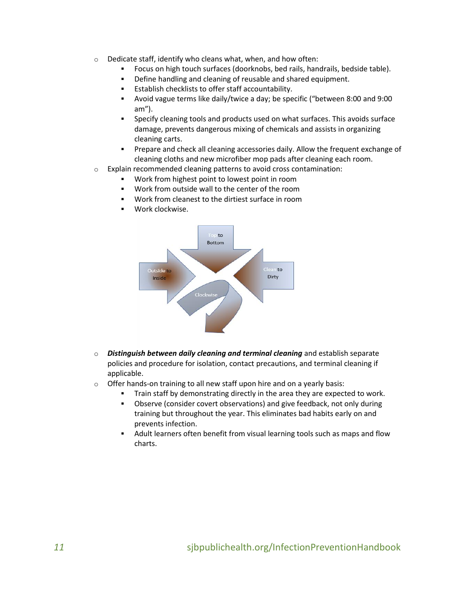- $\circ$  Dedicate staff, identify who cleans what, when, and how often:
	- Focus on high touch surfaces (doorknobs, bed rails, handrails, bedside table).
	- Define handling and cleaning of reusable and shared equipment.
	- Establish checklists to offer staff accountability.
	- Avoid vague terms like daily/twice a day; be specific ("between 8:00 and 9:00 am").
	- **EXECT:** Specify cleaning tools and products used on what surfaces. This avoids surface damage, prevents dangerous mixing of chemicals and assists in organizing cleaning carts.
	- Prepare and check all cleaning accessories daily. Allow the frequent exchange of cleaning cloths and new microfiber mop pads after cleaning each room.
- o Explain recommended cleaning patterns to avoid cross contamination:
	- Work from highest point to lowest point in room
	- Work from outside wall to the center of the room
	- Work from cleanest to the dirtiest surface in room
	- Work clockwise.



- o *Distinguish between daily cleaning and terminal cleaning* and establish separate policies and procedure for isolation, contact precautions, and terminal cleaning if applicable.
- o Offer hands-on training to all new staff upon hire and on a yearly basis:
	- Train staff by demonstrating directly in the area they are expected to work.
	- Observe (consider covert observations) and give feedback, not only during training but throughout the year. This eliminates bad habits early on and prevents infection.
	- Adult learners often benefit from visual learning tools such as maps and flow charts.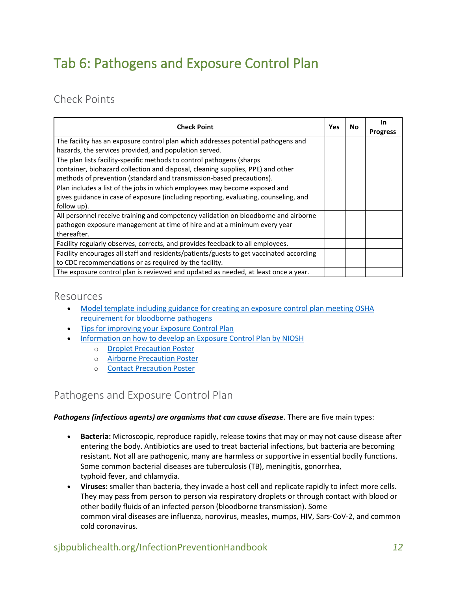## <span id="page-10-0"></span>Tab 6: Pathogens and Exposure Control Plan

## Check Points

| <b>Check Point</b>                                                                      | Yes | <b>No</b> | In<br><b>Progress</b> |
|-----------------------------------------------------------------------------------------|-----|-----------|-----------------------|
| The facility has an exposure control plan which addresses potential pathogens and       |     |           |                       |
| hazards, the services provided, and population served.                                  |     |           |                       |
| The plan lists facility-specific methods to control pathogens (sharps                   |     |           |                       |
| container, biohazard collection and disposal, cleaning supplies, PPE) and other         |     |           |                       |
| methods of prevention (standard and transmission-based precautions).                    |     |           |                       |
| Plan includes a list of the jobs in which employees may become exposed and              |     |           |                       |
| gives guidance in case of exposure (including reporting, evaluating, counseling, and    |     |           |                       |
| follow up).                                                                             |     |           |                       |
| All personnel receive training and competency validation on bloodborne and airborne     |     |           |                       |
| pathogen exposure management at time of hire and at a minimum every year                |     |           |                       |
| thereafter.                                                                             |     |           |                       |
| Facility regularly observes, corrects, and provides feedback to all employees.          |     |           |                       |
| Facility encourages all staff and residents/patients/guests to get vaccinated according |     |           |                       |
| to CDC recommendations or as required by the facility.                                  |     |           |                       |
| The exposure control plan is reviewed and updated as needed, at least once a year.      |     |           |                       |

### Resources

- [Model template including guidance for creating an](https://www.osha.gov/sites/default/files/publications/osha3186.pdf) exposure control plan meeting OSHA requirement [for bloodborne pathogens](https://www.osha.gov/sites/default/files/publications/osha3186.pdf)
- [Tips for improving your Exposure Control Plan](https://www.cdc.gov/niosh/docs/2007-158/pdfs/2007-158.pdf)
- [Information on how to develop an Exposure Control Plan by NIOSH](https://www.cdc.gov/niosh/topics/correctionalhcw/plan.html)
	- o [Droplet Precaution Poster](https://www.cdc.gov/infectioncontrol/pdf/droplet-precautions-sign-P.pdf)
	- o [Airborne Precaution Poster](https://www.cdc.gov/infectioncontrol/pdf/airborne-precautions-sign-P.pdf)
	- o [Contact Precaution Poster](https://www.cdc.gov/infectioncontrol/pdf/contact-precautions-sign-P.pdf)

## Pathogens and Exposure Control Plan

#### *Pathogens (infectious agents) are organisms that can cause disease*. There are five main types:

- **Bacteria:** Microscopic, reproduce rapidly, release toxins that may or may not cause disease after entering the body. Antibiotics are used to treat bacterial infections, but bacteria are becoming resistant. Not all are pathogenic, many are harmless or supportive in essential bodily functions. Some common bacterial diseases are tuberculosis (TB), meningitis, gonorrhea, typhoid fever, and chlamydia.
- **Viruses:** smaller than bacteria, they invade a host cell and replicate rapidly to infect more cells. They may pass from person to person via respiratory droplets or through contact with blood or other bodily fluids of an infected person (bloodborne transmission). Some common viral diseases are influenza, norovirus, measles, mumps, HIV, Sars-CoV-2, and common cold coronavirus.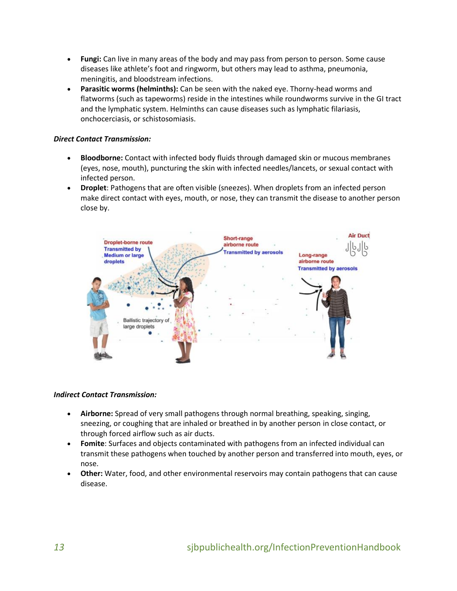- **Fungi:** Can live in many areas of the body and may pass from person to person. Some cause diseases like athlete's foot and ringworm, but others may lead to asthma, pneumonia, meningitis, and bloodstream infections.
- **Parasitic worms (helminths):** Can be seen with the naked eye. Thorny-head worms and flatworms (such as tapeworms) reside in the intestines while roundworms survive in the GI tract and the lymphatic system. Helminths can cause diseases such as lymphatic filariasis, onchocerciasis, or schistosomiasis.

#### *Direct Contact Transmission:*

- **Bloodborne:** Contact with infected body fluids through damaged skin or mucous membranes (eyes, nose, mouth), puncturing the skin with infected needles/lancets, or sexual contact with infected person.
- **Droplet**: Pathogens that are often visible (sneezes). When droplets from an infected person make direct contact with eyes, mouth, or nose, they can transmit the disease to another person close by.



#### *Indirect Contact Transmission:*

- **Airborne:** Spread of very small pathogens through normal breathing, speaking, singing, sneezing, or coughing that are inhaled or breathed in by another person in close contact, or through forced airflow such as air ducts.
- **Fomite**: Surfaces and objects contaminated with pathogens from an infected individual can transmit these pathogens when touched by another person and transferred into mouth, eyes, or nose.
- **Other:** Water, food, and other environmental reservoirs may contain pathogens that can cause disease.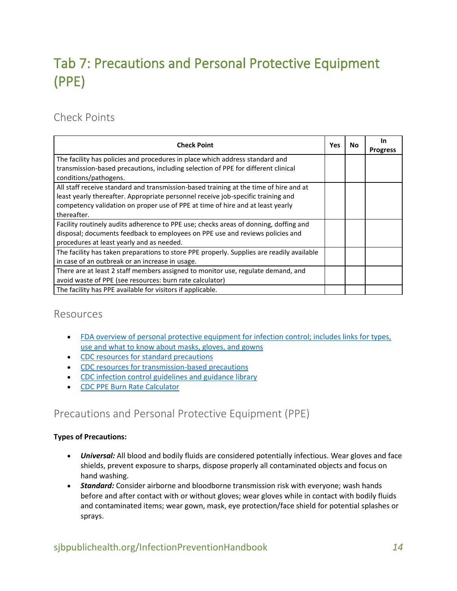# <span id="page-12-0"></span>Tab 7: Precautions and Personal Protective Equipment (PPE)

## Check Points

| <b>Check Point</b>                                                                                         | Yes | No. | In<br><b>Progress</b> |
|------------------------------------------------------------------------------------------------------------|-----|-----|-----------------------|
| The facility has policies and procedures in place which address standard and                               |     |     |                       |
| transmission-based precautions, including selection of PPE for different clinical<br>conditions/pathogens. |     |     |                       |
| All staff receive standard and transmission-based training at the time of hire and at                      |     |     |                       |
| least yearly thereafter. Appropriate personnel receive job-specific training and                           |     |     |                       |
| competency validation on proper use of PPE at time of hire and at least yearly                             |     |     |                       |
| thereafter.                                                                                                |     |     |                       |
| Facility routinely audits adherence to PPE use; checks areas of donning, doffing and                       |     |     |                       |
| disposal; documents feedback to employees on PPE use and reviews policies and                              |     |     |                       |
| procedures at least yearly and as needed.                                                                  |     |     |                       |
| The facility has taken preparations to store PPE properly. Supplies are readily available                  |     |     |                       |
| in case of an outbreak or an increase in usage.                                                            |     |     |                       |
| There are at least 2 staff members assigned to monitor use, regulate demand, and                           |     |     |                       |
| avoid waste of PPE (see resources: burn rate calculator)                                                   |     |     |                       |
| The facility has PPE available for visitors if applicable.                                                 |     |     |                       |

## Resources

- [FDA overview of personal protective equipment for infection control; includes links for types,](https://www.fda.gov/medical-devices/general-hospital-devices-and-supplies/personal-protective-equipment-infection-control)  [use and what to know about masks, gloves, and gowns](https://www.fda.gov/medical-devices/general-hospital-devices-and-supplies/personal-protective-equipment-infection-control)
- [CDC resources for standard precautions](https://www.cdc.gov/infectioncontrol/basics/standard-precautions.html)
- [CDC resources for transmission-based precautions](https://www.cdc.gov/infectioncontrol/basics/standard-precautions.html)
- [CDC infection control guidelines and guidance library](https://www.cdc.gov/infectioncontrol/guidelines/index.html)
- [CDC PPE Burn Rate Calculator](https://www.cdc.gov/coronavirus/2019-ncov/hcp/ppe-strategy/burn-calculator.html)

## Precautions and Personal Protective Equipment (PPE)

#### **Types of Precautions:**

- *Universal:* All blood and bodily fluids are considered potentially infectious. Wear gloves and face shields, prevent exposure to sharps, dispose properly all contaminated objects and focus on hand washing.
- *Standard:* Consider airborne and bloodborne transmission risk with everyone; wash hands before and after contact with or without gloves; wear gloves while in contact with bodily fluids and contaminated items; wear gown, mask, eye protection/face shield for potential splashes or sprays.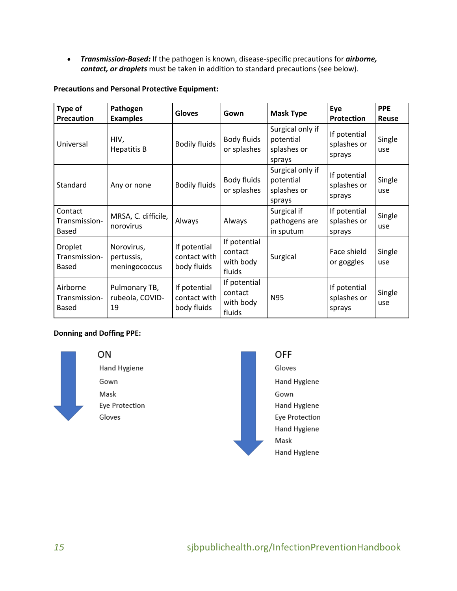• *Transmission-Based:* If the pathogen is known, disease-specific precautions for *airborne, contact, or droplets* must be taken in addition to standard precautions (see below).

| Type of<br><b>Precaution</b>       | Pathogen<br><b>Examples</b>               | <b>Gloves</b>                               | Gown                                           | <b>Mask Type</b>                                       | Eye<br>Protection                     | <b>PPE</b><br><b>Reuse</b> |
|------------------------------------|-------------------------------------------|---------------------------------------------|------------------------------------------------|--------------------------------------------------------|---------------------------------------|----------------------------|
| Universal                          | HIV,<br><b>Hepatitis B</b>                | <b>Bodily fluids</b>                        | Body fluids<br>or splashes                     | Surgical only if<br>potential<br>splashes or<br>sprays | If potential<br>splashes or<br>sprays | Single<br>use              |
| Standard                           | Any or none                               | <b>Bodily fluids</b>                        | Body fluids<br>or splashes                     | Surgical only if<br>potential<br>splashes or<br>sprays | If potential<br>splashes or<br>sprays | Single<br>use              |
| Contact<br>Transmission-<br>Based  | MRSA, C. difficile,<br>norovirus          | Always                                      | Always                                         | Surgical if<br>pathogens are<br>in sputum              | If potential<br>splashes or<br>sprays | Single<br>use              |
| Droplet<br>Transmission-<br>Based  | Norovirus,<br>pertussis,<br>meningococcus | If potential<br>contact with<br>body fluids | If potential<br>contact<br>with body<br>fluids | Surgical                                               | Face shield<br>or goggles             | Single<br>use              |
| Airborne<br>Transmission-<br>Based | Pulmonary TB,<br>rubeola, COVID-<br>19    | If potential<br>contact with<br>body fluids | If potential<br>contact<br>with body<br>fluids | N95                                                    | If potential<br>splashes or<br>sprays | Single<br>use              |

#### **Precautions and Personal Protective Equipment:**

#### **Donning and Doffing PPE:**

ON



Hand Hygiene Gown Mask Eye Protection Gloves

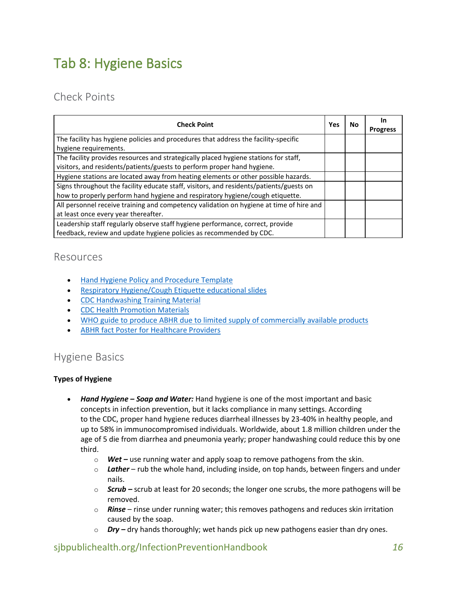## <span id="page-14-0"></span>Tab 8: Hygiene Basics

## Check Points

| <b>Check Point</b>                                                                                                                                              | Yes | <b>No</b> | In<br><b>Progress</b> |
|-----------------------------------------------------------------------------------------------------------------------------------------------------------------|-----|-----------|-----------------------|
| The facility has hygiene policies and procedures that address the facility-specific<br>hygiene requirements.                                                    |     |           |                       |
| The facility provides resources and strategically placed hygiene stations for staff,<br>visitors, and residents/patients/guests to perform proper hand hygiene. |     |           |                       |
| Hygiene stations are located away from heating elements or other possible hazards.                                                                              |     |           |                       |
| Signs throughout the facility educate staff, visitors, and residents/patients/guests on                                                                         |     |           |                       |
| how to properly perform hand hygiene and respiratory hygiene/cough etiquette.                                                                                   |     |           |                       |
| All personnel receive training and competency validation on hygiene at time of hire and<br>at least once every year thereafter.                                 |     |           |                       |
| Leadership staff regularly observe staff hygiene performance, correct, provide<br>feedback, review and update hygiene policies as recommended by CDC.           |     |           |                       |

### Resources

- [Hand Hygiene Policy and Procedure Template](https://www.doh.wa.gov/Portals/1/Documents/Pubs/505144.pdf)
- [Respiratory Hygiene/Cough Etiquette educational slides](https://www.cdc.gov/oralhealth/pdfs_and_other_files/BESC4-Respiratory-Hygiene-508.pdf)
- [CDC Handwashing Training Material](https://www.cdc.gov/handwashing/handwashing-corporate.html)
- [CDC Health Promotion Materials](https://www.cdc.gov/handwashing/materials.html)
- WHO guide to produce ABHR [due to limited supply of commercially available products](https://www.who.int/gpsc/5may/Guide_to_Local_Production.pdf?ua=1)
- [ABHR fact Poster for Healthcare Providers](https://www.cdc.gov/handhygiene/pdfs/Provider-Factsheet-508.pdf)

## Hygiene Basics

#### **Types of Hygiene**

- *Hand Hygiene – Soap and Water:* Hand hygiene is one of the most important and basic concepts in infection prevention, but it lacks compliance in many settings. According to the CDC, proper hand hygiene reduces diarrheal illnesses by 23-40% in healthy people, and up to 58% in immunocompromised individuals. Worldwide, about 1.8 million children under the age of 5 die from diarrhea and pneumonia yearly; proper handwashing could reduce this by one third.
	- o *Wet –* use running water and apply soap to remove pathogens from the skin.
	- o *Lather* rub the whole hand, including inside, on top hands, between fingers and under nails.
	- o *Scrub –* scrub at least for 20 seconds; the longer one scrubs, the more pathogens will be removed.
	- o *Rinse* rinse under running water; this removes pathogens and reduces skin irritation caused by the soap.
	- o *Dry –* dry hands thoroughly; wet hands pick up new pathogens easier than dry ones.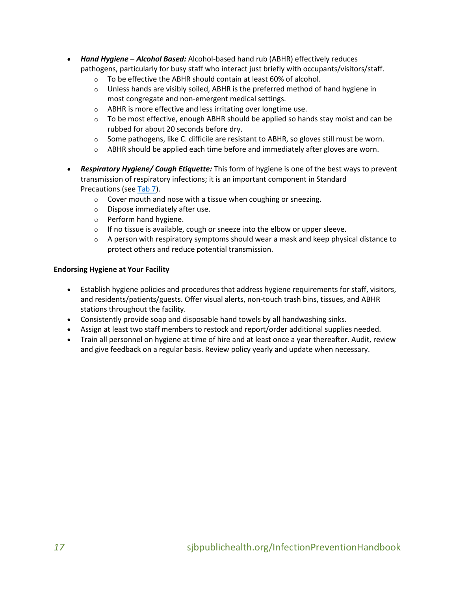- *Hand Hygiene – Alcohol Based:* Alcohol-based hand rub (ABHR) effectively reduces pathogens, particularly for busy staff who interact just briefly with occupants/visitors/staff.
	- o To be effective the ABHR should contain at least 60% of alcohol.
	- $\circ$  Unless hands are visibly soiled, ABHR is the preferred method of hand hygiene in most congregate and non-emergent medical settings.
	- o ABHR is more effective and less irritating over longtime use.
	- $\circ$  To be most effective, enough ABHR should be applied so hands stay moist and can be rubbed for about 20 seconds before dry.
	- o Some pathogens, like C. difficile are resistant to ABHR, so gloves still must be worn.
	- $\circ$  ABHR should be applied each time before and immediately after gloves are worn.
- *Respiratory Hygiene/ Cough Etiquette:* This form of hygiene is one of the best ways to prevent transmission of respiratory infections; it is an important component in Standard Precautions (see [Tab 7\)](#page-12-0).
	- $\circ$  Cover mouth and nose with a tissue when coughing or sneezing.
	- o Dispose immediately after use.
	- o Perform hand hygiene.
	- o If no tissue is available, cough or sneeze into the elbow or upper sleeve.
	- $\circ$  A person with respiratory symptoms should wear a mask and keep physical distance to protect others and reduce potential transmission.

#### **Endorsing Hygiene at Your Facility**

- Establish hygiene policies and procedures that address hygiene requirements for staff, visitors, and residents/patients/guests. Offer visual alerts, non-touch trash bins, tissues, and ABHR stations throughout the facility.
- Consistently provide soap and disposable hand towels by all handwashing sinks.
- Assign at least two staff members to restock and report/order additional supplies needed.
- Train all personnel on hygiene at time of hire and at least once a year thereafter. Audit, review and give feedback on a regular basis. Review policy yearly and update when necessary.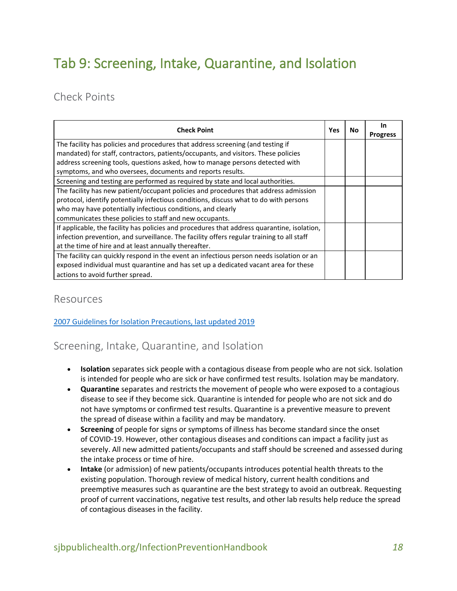## <span id="page-16-0"></span>Tab 9: Screening, Intake, Quarantine, and Isolation

Check Points

| <b>Check Point</b>                                                                          | Yes | <b>No</b> | In<br><b>Progress</b> |
|---------------------------------------------------------------------------------------------|-----|-----------|-----------------------|
| The facility has policies and procedures that address screening (and testing if             |     |           |                       |
| mandated) for staff, contractors, patients/occupants, and visitors. These policies          |     |           |                       |
| address screening tools, questions asked, how to manage persons detected with               |     |           |                       |
| symptoms, and who oversees, documents and reports results.                                  |     |           |                       |
| Screening and testing are performed as required by state and local authorities.             |     |           |                       |
| The facility has new patient/occupant policies and procedures that address admission        |     |           |                       |
| protocol, identify potentially infectious conditions, discuss what to do with persons       |     |           |                       |
| who may have potentially infectious conditions, and clearly                                 |     |           |                       |
| communicates these policies to staff and new occupants.                                     |     |           |                       |
| If applicable, the facility has policies and procedures that address quarantine, isolation, |     |           |                       |
| infection prevention, and surveillance. The facility offers regular training to all staff   |     |           |                       |
| at the time of hire and at least annually thereafter.                                       |     |           |                       |
| The facility can quickly respond in the event an infectious person needs isolation or an    |     |           |                       |
| exposed individual must quarantine and has set up a dedicated vacant area for these         |     |           |                       |
| actions to avoid further spread.                                                            |     |           |                       |

## Resources

#### [2007 Guidelines for Isolation Precautions, last updated 2019](https://www.cdc.gov/infectioncontrol/pdf/guidelines/isolation-guidelines-H.pdf)

## Screening, Intake, Quarantine, and Isolation

- **Isolation** separates sick people with a contagious disease from people who are not sick. Isolation is intended for people who are sick or have confirmed test results. Isolation may be mandatory.
- **Quarantine** separates and restricts the movement of people who were exposed to a contagious disease to see if they become sick. Quarantine is intended for people who are not sick and do not have symptoms or confirmed test results. Quarantine is a preventive measure to prevent the spread of disease within a facility and may be mandatory.
- **Screening** of people for signs or symptoms of illness has become standard since the onset of COVID-19. However, other contagious diseases and conditions can impact a facility just as severely. All new admitted patients/occupants and staff should be screened and assessed during the intake process or time of hire.
- **Intake** (or admission) of new patients/occupants introduces potential health threats to the existing population. Thorough review of medical history, current health conditions and preemptive measures such as quarantine are the best strategy to avoid an outbreak. Requesting proof of current vaccinations, negative test results, and other lab results help reduce the spread of contagious diseases in the facility.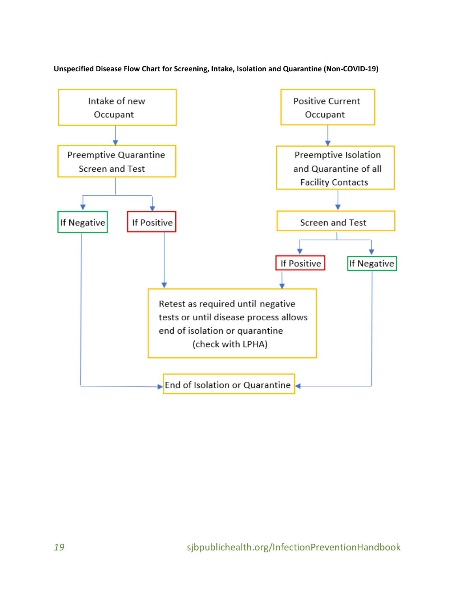

**Unspecified Disease Flow Chart for Screening, Intake, Isolation and Quarantine (Non-COVID-19)**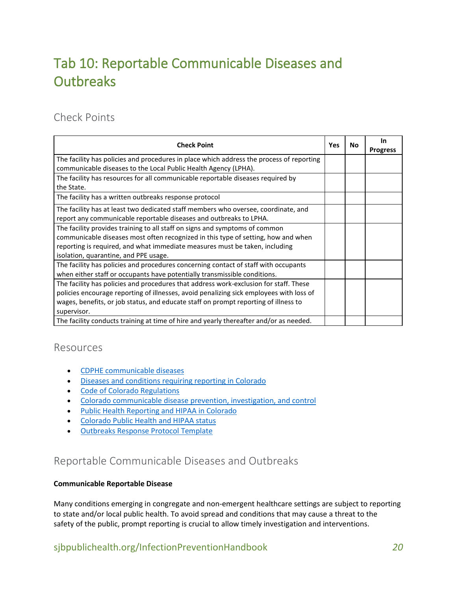## <span id="page-18-0"></span>Tab 10: Reportable Communicable Diseases and **Outbreaks**

## Check Points

| <b>Check Point</b>                                                                                                                                                                                                                                                                       | <b>Yes</b> | <b>No</b> | <b>In</b><br><b>Progress</b> |
|------------------------------------------------------------------------------------------------------------------------------------------------------------------------------------------------------------------------------------------------------------------------------------------|------------|-----------|------------------------------|
| The facility has policies and procedures in place which address the process of reporting<br>communicable diseases to the Local Public Health Agency (LPHA).                                                                                                                              |            |           |                              |
| The facility has resources for all communicable reportable diseases required by<br>the State.                                                                                                                                                                                            |            |           |                              |
| The facility has a written outbreaks response protocol                                                                                                                                                                                                                                   |            |           |                              |
| The facility has at least two dedicated staff members who oversee, coordinate, and<br>report any communicable reportable diseases and outbreaks to LPHA.                                                                                                                                 |            |           |                              |
| The facility provides training to all staff on signs and symptoms of common<br>communicable diseases most often recognized in this type of setting, how and when<br>reporting is required, and what immediate measures must be taken, including<br>isolation, quarantine, and PPE usage. |            |           |                              |
| The facility has policies and procedures concerning contact of staff with occupants<br>when either staff or occupants have potentially transmissible conditions.                                                                                                                         |            |           |                              |
| The facility has policies and procedures that address work-exclusion for staff. These<br>policies encourage reporting of illnesses, avoid penalizing sick employees with loss of<br>wages, benefits, or job status, and educate staff on prompt reporting of illness to<br>supervisor.   |            |           |                              |
| The facility conducts training at time of hire and yearly thereafter and/or as needed.                                                                                                                                                                                                   |            |           |                              |

## Resources

- [CDPHE communicable diseases](https://cdphe.colorado.gov/health/communicable-diseases)
- [Diseases and conditions requiring reporting in Colorado](https://cdphe.colorado.gov/report-a-disease)
- [Code of Colorado Regulations](https://www.sos.state.co.us/CCR/GenerateRulePdf.do?ruleVersionId=8063&fileName=6%20CCR%201009-5)
- [Colorado communicable disease prevention, investigation, and control](https://cdphe-lpha.colorado.gov/resources/communicable-disease-prevention-investigation-and-control)
- [Public Health Reporting and HIPAA in Colorado](https://drive.google.com/file/d/0B0tmPQ67k3NVTnVqeXpFbWNYNjA/view)
- [Colorado Public Health and HIPAA status](https://cdphe.colorado.gov/hipaa-status)
- [Outbreaks Response Protocol Template](https://www.health.state.mn.us/communities/environment/food/docs/outbreakprotocol.pdf)

## Reportable Communicable Diseases and Outbreaks

#### **Communicable Reportable Disease**

Many conditions emerging in congregate and non-emergent healthcare settings are subject to reporting to state and/or local public health. To avoid spread and conditions that may cause a threat to the safety of the public, prompt reporting is crucial to allow timely investigation and interventions.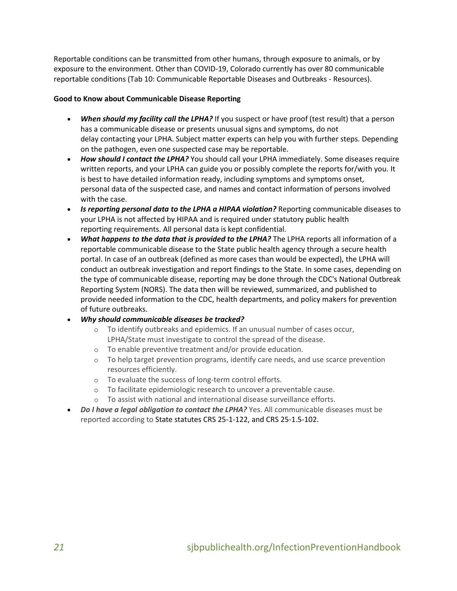Reportable conditions can be transmitted from other humans, through exposure to animals, or by exposure to the environment. Other than COVID-19, Colorado currently has over 80 communicable reportable conditions (Tab 10: Communicable Reportable Diseases and Outbreaks - Resources).

#### **Good to Know about Communicable Disease Reporting**

- *When should my facility call the LPHA?* If you suspect or have proof (test result) that a person has a communicable disease or presents unusual signs and symptoms, do not delay contacting your LPHA. Subject matter experts can help you with further steps. Depending on the pathogen, even one suspected case may be reportable.
- *How should I contact the LPHA?* You should call your LPHA immediately. Some diseases require written reports, and your LPHA can guide you or possibly complete the reports for/with you. It is best to have detailed information ready, including symptoms and symptoms onset, personal data of the suspected case, and names and contact information of persons involved with the case.
- *Is reporting personal data to the LPHA a HIPAA violation?* Reporting communicable diseases to your LPHA is not affected by HIPAA and is required under statutory public health reporting requirements. All personal data is kept confidential.
- *What happens to the data that is provided to the LPHA?* The LPHA reports all information of a reportable communicable disease to the State public health agency through a secure health portal. In case of an outbreak (defined as more cases than would be expected), the LPHA will conduct an outbreak investigation and report findings to the State. In some cases, depending on the type of communicable disease, reporting may be done through the CDC's National Outbreak Reporting System (NORS). The data then will be reviewed, summarized, and published to provide needed information to the CDC, health departments, and policy makers for prevention of future outbreaks.
- *Why should communicable diseases be tracked?*
	- o To identify outbreaks and epidemics. If an unusual number of cases occur, LPHA/State must investigate to control the spread of the disease.
	- o To enable preventive treatment and/or provide education.
	- o To help target prevention programs, identify care needs, and use scarce prevention resources efficiently.
	- o To evaluate the success of long-term control efforts.
	- o To facilitate epidemiologic research to uncover a preventable cause.
	- o To assist with national and international disease surveillance efforts.
- *Do I have a legal obligation to contact the LPHA?* Yes. All communicable diseases must be reported according to State statutes CRS 25-1-122, and CRS 25-1.5-102.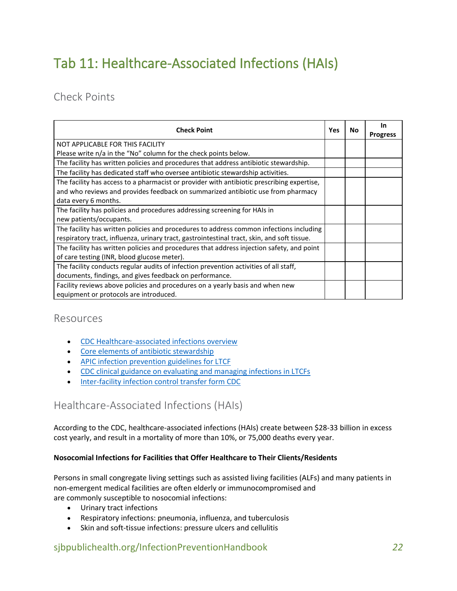## <span id="page-20-0"></span>Tab 11: Healthcare-Associated Infections (HAIs)

Check Points

| <b>Check Point</b>                                                                          | <b>Yes</b> | <b>No</b> | In<br><b>Progress</b> |
|---------------------------------------------------------------------------------------------|------------|-----------|-----------------------|
| NOT APPLICABLE FOR THIS FACILITY                                                            |            |           |                       |
| Please write n/a in the "No" column for the check points below.                             |            |           |                       |
| The facility has written policies and procedures that address antibiotic stewardship.       |            |           |                       |
| The facility has dedicated staff who oversee antibiotic stewardship activities.             |            |           |                       |
| The facility has access to a pharmacist or provider with antibiotic prescribing expertise,  |            |           |                       |
| and who reviews and provides feedback on summarized antibiotic use from pharmacy            |            |           |                       |
| data every 6 months.                                                                        |            |           |                       |
| The facility has policies and procedures addressing screening for HAIs in                   |            |           |                       |
| new patients/occupants.                                                                     |            |           |                       |
| The facility has written policies and procedures to address common infections including     |            |           |                       |
| respiratory tract, influenza, urinary tract, gastrointestinal tract, skin, and soft tissue. |            |           |                       |
| The facility has written policies and procedures that address injection safety, and point   |            |           |                       |
| of care testing (INR, blood glucose meter).                                                 |            |           |                       |
| The facility conducts regular audits of infection prevention activities of all staff,       |            |           |                       |
| documents, findings, and gives feedback on performance.                                     |            |           |                       |
| Facility reviews above policies and procedures on a yearly basis and when new               |            |           |                       |
| equipment or protocols are introduced.                                                      |            |           |                       |

## Resources

- [CDC Healthcare-associated infections overview](https://www.cdc.gov/hai/index.html)
- [Core elements of antibiotic stewardship](file:///C:/Users/eferguson/Downloads/â¢%09https:/www.cdc.gov/antibiotic-use/core-elements/index.html%23:~:text=Antibiotic%2520stewardship%2520is%2520the%2520effort,use%252C%2520and%2520combat%2520antibiotic%2520resistance)
- [APIC infection prevention guidelines for LTCF](http://www.apic.org/Resource_/TinyMceFileManager/Practice_Guidance/id_APIC-SHEA_GuidelineforICinLTCFs.pdf)
- [CDC clinical guidance on evaluating and managing infections in LTCFs](https://www.cdc.gov/longtermcare/staff/index.html)
- [Inter-facility infection control transfer form CDC](https://www.cdc.gov/hai/pdfs/toolkits/Interfacility-IC-Transfer-Form-508.pdf)

## Healthcare-Associated Infections (HAIs)

According to the CDC, healthcare-associated infections (HAIs) create between \$28-33 billion in excess cost yearly, and result in a mortality of more than 10%, or 75,000 deaths every year.

#### **Nosocomial Infections for Facilities that Offer Healthcare to Their Clients/Residents**

Persons in small congregate living settings such as assisted living facilities (ALFs) and many patients in non-emergent medical facilities are often elderly or immunocompromised and are commonly susceptible to nosocomial infections:

- Urinary tract infections
- Respiratory infections: pneumonia, influenza, and tuberculosis
- Skin and soft-tissue infections: pressure ulcers and cellulitis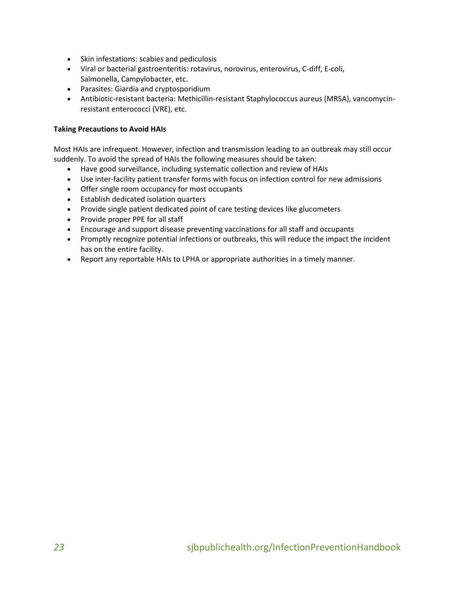- Skin infestations: scabies and pediculosis
- Viral or bacterial gastroenteritis: rotavirus, norovirus, enterovirus, C-diff, E-coli, Salmonella, Campylobacter, etc.
- Parasites: Giardia and cryptosporidium
- Antibiotic-resistant bacteria: Methicillin-resistant Staphylococcus aureus (MRSA), vancomycinresistant enterococci (VRE), etc.

#### **Taking Precautions to Avoid HAIs**

Most HAIs are infrequent. However, infection and transmission leading to an outbreak may still occur suddenly. To avoid the spread of HAIs the following measures should be taken:

- Have good surveillance, including systematic collection and review of HAIs
- Use inter-facility patient transfer forms with focus on infection control for new admissions
- Offer single room occupancy for most occupants
- Establish dedicated isolation quarters
- Provide single patient dedicated point of care testing devices like glucometers
- Provide proper PPE for all staff
- Encourage and support disease preventing vaccinations for all staff and occupants
- Promptly recognize potential infections or outbreaks, this will reduce the impact the incident has on the entire facility.
- Report any reportable HAIs to LPHA or appropriate authorities in a timely manner.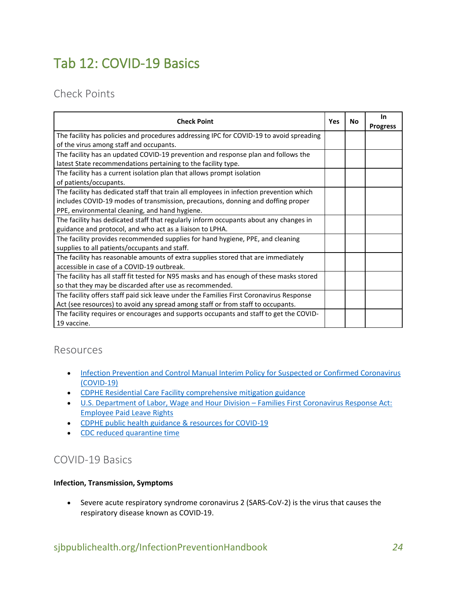## <span id="page-22-0"></span>Tab 12: COVID-19 Basics

## Check Points

| <b>Check Point</b>                                                                                                                                                                                                            | Yes | No | In<br><b>Progress</b> |
|-------------------------------------------------------------------------------------------------------------------------------------------------------------------------------------------------------------------------------|-----|----|-----------------------|
| The facility has policies and procedures addressing IPC for COVID-19 to avoid spreading<br>of the virus among staff and occupants.                                                                                            |     |    |                       |
| The facility has an updated COVID-19 prevention and response plan and follows the<br>latest State recommendations pertaining to the facility type.                                                                            |     |    |                       |
| The facility has a current isolation plan that allows prompt isolation<br>of patients/occupants.                                                                                                                              |     |    |                       |
| The facility has dedicated staff that train all employees in infection prevention which<br>includes COVID-19 modes of transmission, precautions, donning and doffing proper<br>PPE, environmental cleaning, and hand hygiene. |     |    |                       |
| The facility has dedicated staff that regularly inform occupants about any changes in<br>guidance and protocol, and who act as a liaison to LPHA.                                                                             |     |    |                       |
| The facility provides recommended supplies for hand hygiene, PPE, and cleaning<br>supplies to all patients/occupants and staff.                                                                                               |     |    |                       |
| The facility has reasonable amounts of extra supplies stored that are immediately<br>accessible in case of a COVID-19 outbreak.                                                                                               |     |    |                       |
| The facility has all staff fit tested for N95 masks and has enough of these masks stored<br>so that they may be discarded after use as recommended.                                                                           |     |    |                       |
| The facility offers staff paid sick leave under the Families First Coronavirus Response<br>Act (see resources) to avoid any spread among staff or from staff to occupants.                                                    |     |    |                       |
| The facility requires or encourages and supports occupants and staff to get the COVID-<br>19 vaccine.                                                                                                                         |     |    |                       |

### Resources

- Infection Prevention and Control Manual Interim Policy for Suspected or Confirmed Coronavirus [\(COVID-19\)](https://mms-cms.mckesson.com/uploads/2020/03/Pathway_COVID-19-Policy-and-Procedure.pdf)
- [CDPHE Residential Care Facility comprehensive mitigation guidance](https://drive.google.com/file/d/1TCZVpFTZVkJntn0cmlJT5JCr9mPFoJvS/view)
- [U.S. Department of Labor, Wage and Hour Division](https://www.dol.gov/agencies/whd/pandemic/ffcra-employee-paid-leave)  Families First Coronavirus Response Act: [Employee Paid Leave Rights](https://www.dol.gov/agencies/whd/pandemic/ffcra-employee-paid-leave)
- [CDPHE public health guidance & resources for COVID-19](https://covid19.colorado.gov/guidance-resources)
- [CDC reduced quarantine time](https://www.cdc.gov/coronavirus/2019-ncov/science/science-briefs/scientific-brief-options-to-reduce-quarantine.html#:~:text=CDC%20recognizes%20that%20any%20quarantine,the%20COVID%2D19%20incubation%20period.)

## COVID-19 Basics

#### **Infection, Transmission, Symptoms**

• Severe acute respiratory syndrome coronavirus 2 (SARS-CoV-2) is the virus that causes the respiratory disease known as COVID-19.